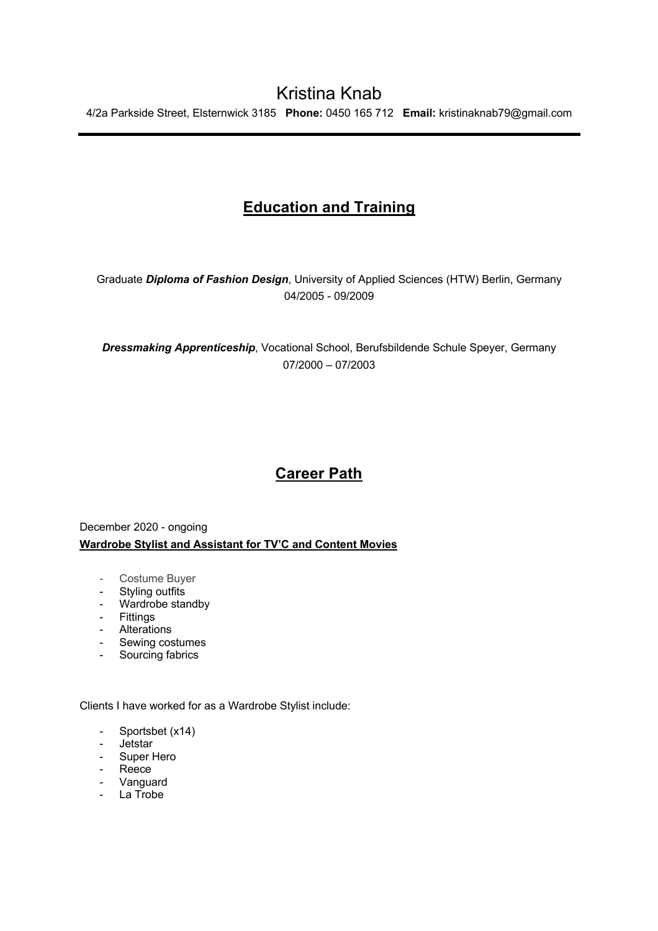# **Education and Training**

Graduate *Diploma of Fashion Design*, University of Applied Sciences (HTW) Berlin, Germany 04/2005 - 09/2009

*Dressmaking Apprenticeship*, Vocational School, Berufsbildende Schule Speyer, Germany 07/2000 – 07/2003

# **Career Path**

## December 2020 - ongoing **Wardrobe Stylist and Assistant for TV'C and Content Movies**

- Costume Buyer
- Styling outfits
- Wardrobe standby
- Fittings
- Alterations
- Sewing costumes
- Sourcing fabrics

Clients I have worked for as a Wardrobe Stylist include:

- Sportsbet (x14)
- Jetstar
- Super Hero
- Reece
- Vanguard
- La Trobe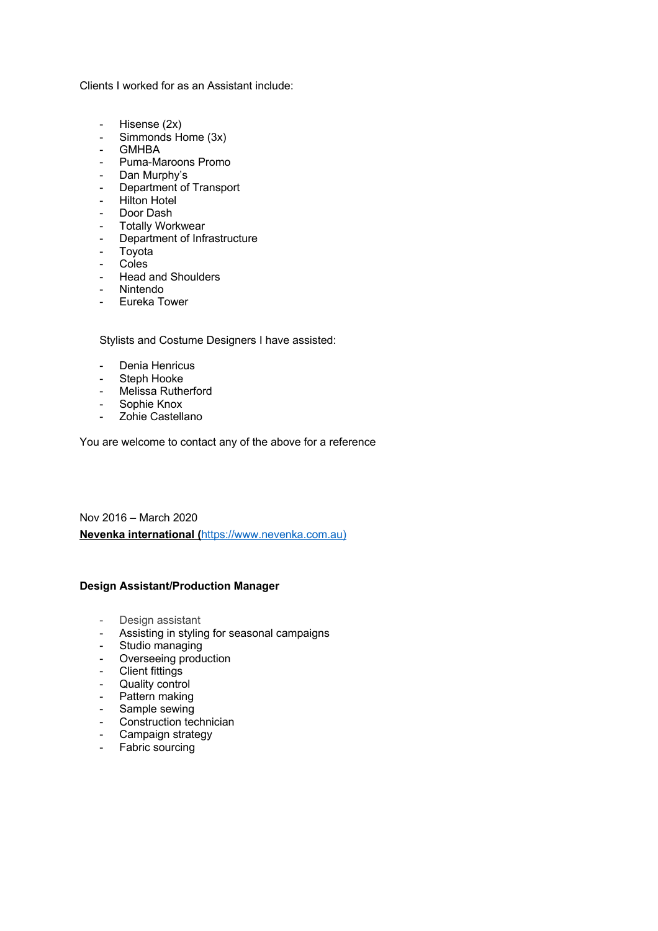Clients I worked for as an Assistant include:

- Hisense (2x)
- Simmonds Home (3x)
- GMHBA
- Puma-Maroons Promo
- 
- Dan Murphy's<br>- Department of Department of Transport
- Hilton Hotel
- Door Dash
- Totally Workwear
- Department of Infrastructure
- Toyota
- Coles
- Head and Shoulders
- Nintendo
- Eureka Tower

Stylists and Costume Designers I have assisted:

- Denia Henricus<br>- Steph Hooke
- Steph Hooke
- Melissa Rutherford
- Sophie Knox
- Zohie Castellano

You are welcome to contact any of the above for a reference

Nov 2016 – March 2020 **Nevenka international (**https://www.nevenka.com.au)

### **Design Assistant/Production Manager**

- Design assistant
- Assisting in styling for seasonal campaigns
- Studio managing
- Overseeing production
- Client fittings
- Quality control
- Pattern making
- Sample sewing
- Construction technician
- Campaign strategy
- Fabric sourcing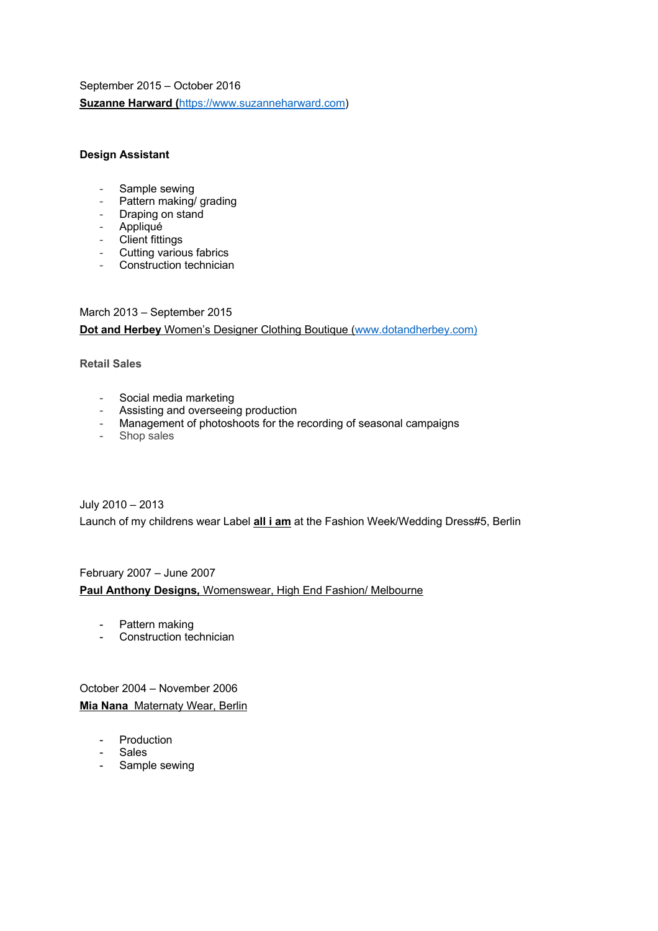September 2015 – October 2016 **Suzanne Harward (**https://www.suzanneharward.com)

## **Design Assistant**

- Sample sewing
- Pattern making/ grading
- Draping on stand
- Appliqué
- Client fittings
- Cutting various fabrics
- Construction technician

March 2013 – September 2015 **Dot and Herbey** Women's Designer Clothing Boutique (www.dotandherbey.com)

### **Retail Sales**

- Social media marketing
- Assisting and overseeing production
- Management of photoshoots for the recording of seasonal campaigns
- Shop sales

July 2010 – 2013

Launch of my childrens wear Label **all i am** at the Fashion Week/Wedding Dress#5, Berlin

### February 2007 – June 2007

**Paul Anthony Designs***,* Womenswear, High End Fashion/ Melbourne

- Pattern making<br>- Construction term
- Construction technician

October 2004 – November 2006 **Mia Nana** Maternaty Wear, Berlin

- Production
- Sales
- Sample sewing